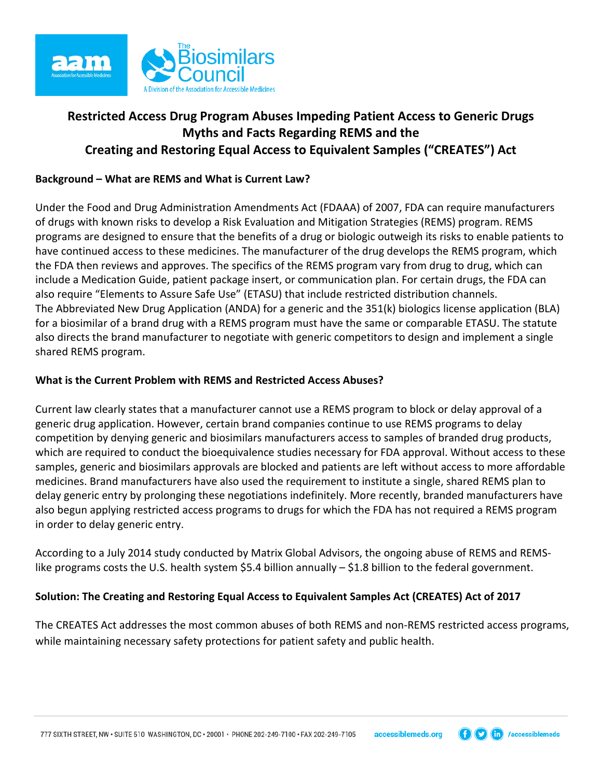

# **Restricted Access Drug Program Abuses Impeding Patient Access to Generic Drugs Myths and Facts Regarding REMS and the Creating and Restoring Equal Access to Equivalent Samples ("CREATES") Act**

### **Background – What are REMS and What is Current Law?**

Under the Food and Drug Administration Amendments Act (FDAAA) of 2007, FDA can require manufacturers of drugs with known risks to develop a Risk Evaluation and Mitigation Strategies (REMS) program. REMS programs are designed to ensure that the benefits of a drug or biologic outweigh its risks to enable patients to have continued access to these medicines. The manufacturer of the drug develops the REMS program, which the FDA then reviews and approves. The specifics of the REMS program vary from drug to drug, which can include a Medication Guide, patient package insert, or communication plan. For certain drugs, the FDA can also require "Elements to Assure Safe Use" (ETASU) that include restricted distribution channels. The Abbreviated New Drug Application (ANDA) for a generic and the 351(k) biologics license application (BLA) for a biosimilar of a brand drug with a REMS program must have the same or comparable ETASU. The statute also directs the brand manufacturer to negotiate with generic competitors to design and implement a single shared REMS program.

#### **What is the Current Problem with REMS and Restricted Access Abuses?**

Current law clearly states that a manufacturer cannot use a REMS program to block or delay approval of a generic drug application. However, certain brand companies continue to use REMS programs to delay competition by denying generic and biosimilars manufacturers access to samples of branded drug products, which are required to conduct the bioequivalence studies necessary for FDA approval. Without access to these samples, generic and biosimilars approvals are blocked and patients are left without access to more affordable medicines. Brand manufacturers have also used the requirement to institute a single, shared REMS plan to delay generic entry by prolonging these negotiations indefinitely. More recently, branded manufacturers have also begun applying restricted access programs to drugs for which the FDA has not required a REMS program in order to delay generic entry.

According to a July 2014 study conducted by Matrix Global Advisors, the ongoing abuse of REMS and REMSlike programs costs the U.S. health system \$5.4 billion annually – \$1.8 billion to the federal government.

## **Solution: The Creating and Restoring Equal Access to Equivalent Samples Act (CREATES) Act of 2017**

The CREATES Act addresses the most common abuses of both REMS and non-REMS restricted access programs, while maintaining necessary safety protections for patient safety and public health.

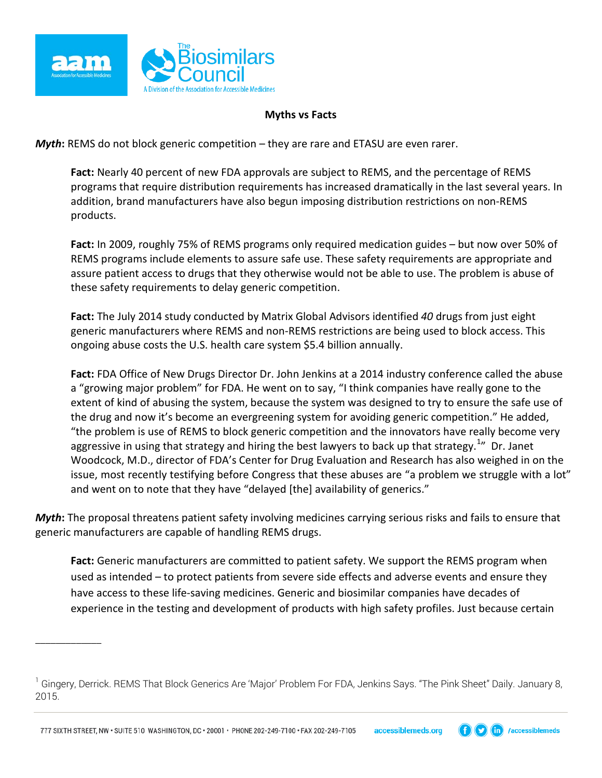

\_\_\_\_\_\_\_\_\_\_\_\_\_

#### **Myths vs Facts**

*Myth*: REMS do not block generic competition – they are rare and ETASU are even rarer.

**Fact:** Nearly 40 percent of new FDA approvals are subject to REMS, and the percentage of REMS programs that require distribution requirements has increased dramatically in the last several years. In addition, brand manufacturers have also begun imposing distribution restrictions on non-REMS products.

**Fact:** In 2009, roughly 75% of REMS programs only required medication guides – but now over 50% of REMS programs include elements to assure safe use. These safety requirements are appropriate and assure patient access to drugs that they otherwise would not be able to use. The problem is abuse of these safety requirements to delay generic competition.

**Fact:** The July 2014 study conducted by Matrix Global Advisors identified *40* drugs from just eight generic manufacturers where REMS and non-REMS restrictions are being used to block access. This ongoing abuse costs the U.S. health care system \$5.4 billion annually.

**Fact:** FDA Office of New Drugs Director Dr. John Jenkins at a 2014 industry conference called the abuse a "growing major problem" for FDA. He went on to say, "I think companies have really gone to the extent of kind of abusing the system, because the system was designed to try to ensure the safe use of the drug and now it's become an evergreening system for avoiding generic competition." He added, "the problem is use of REMS to block generic competition and the innovators have really become very aggressive in using that strategy and hiring the best lawyers to back up that strategy.<sup>[1](#page-1-0)</sup>" Dr. Janet Woodcock, M.D., director of FDA's Center for Drug Evaluation and Research has also weighed in on the issue, most recently testifying before Congress that these abuses are "a problem we struggle with a lot" and went on to note that they have "delayed [the] availability of generics."

*Myth***:** The proposal threatens patient safety involving medicines carrying serious risks and fails to ensure that generic manufacturers are capable of handling REMS drugs.

Fact: Generic manufacturers are committed to patient safety. We support the REMS program when used as intended – to protect patients from severe side effects and adverse events and ensure they have access to these life-saving medicines. Generic and biosimilar companies have decades of experience in the testing and development of products with high safety profiles. Just because certain



<span id="page-1-0"></span> $^{\rm 1}$  Gingery, Derrick. REMS That Block Generics Are 'Major' Problem For FDA, Jenkins Says. "The Pink Sheet" Daily. January 8, 2015.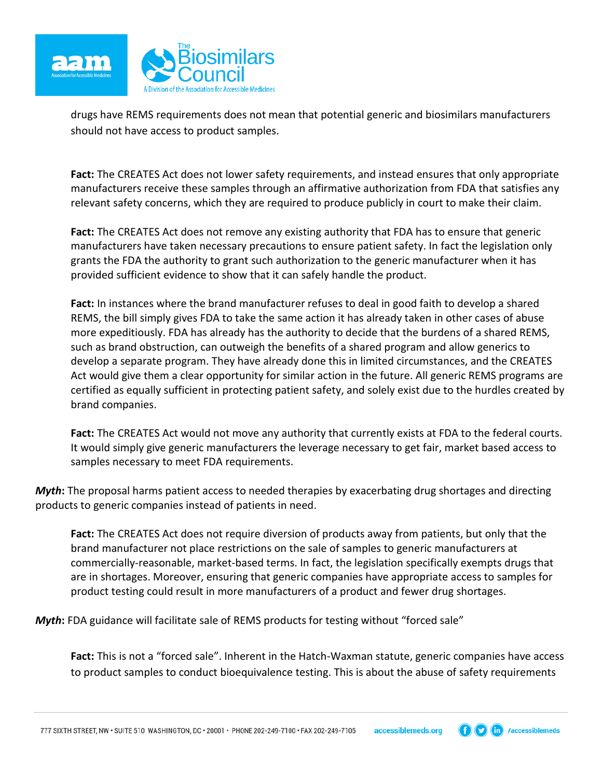

drugs have REMS requirements does not mean that potential generic and biosimilars manufacturers should not have access to product samples.

**Fact:** The CREATES Act does not lower safety requirements, and instead ensures that only appropriate manufacturers receive these samples through an affirmative authorization from FDA that satisfies any relevant safety concerns, which they are required to produce publicly in court to make their claim.

**Fact:** The CREATES Act does not remove any existing authority that FDA has to ensure that generic manufacturers have taken necessary precautions to ensure patient safety. In fact the legislation only grants the FDA the authority to grant such authorization to the generic manufacturer when it has provided sufficient evidence to show that it can safely handle the product.

**Fact:** In instances where the brand manufacturer refuses to deal in good faith to develop a shared REMS, the bill simply gives FDA to take the same action it has already taken in other cases of abuse more expeditiously. FDA has already has the authority to decide that the burdens of a shared REMS, such as brand obstruction, can outweigh the benefits of a shared program and allow generics to develop a separate program. They have already done this in limited circumstances, and the CREATES Act would give them a clear opportunity for similar action in the future. All generic REMS programs are certified as equally sufficient in protecting patient safety, and solely exist due to the hurdles created by brand companies.

**Fact:** The CREATES Act would not move any authority that currently exists at FDA to the federal courts. It would simply give generic manufacturers the leverage necessary to get fair, market based access to samples necessary to meet FDA requirements.

*Myth***:** The proposal harms patient access to needed therapies by exacerbating drug shortages and directing products to generic companies instead of patients in need.

**Fact:** The CREATES Act does not require diversion of products away from patients, but only that the brand manufacturer not place restrictions on the sale of samples to generic manufacturers at commercially-reasonable, market-based terms. In fact, the legislation specifically exempts drugs that are in shortages. Moreover, ensuring that generic companies have appropriate access to samples for product testing could result in more manufacturers of a product and fewer drug shortages.

**Myth:** FDA guidance will facilitate sale of REMS products for testing without "forced sale"

**Fact:** This is not a "forced sale". Inherent in the Hatch-Waxman statute, generic companies have access to product samples to conduct bioequivalence testing. This is about the abuse of safety requirements

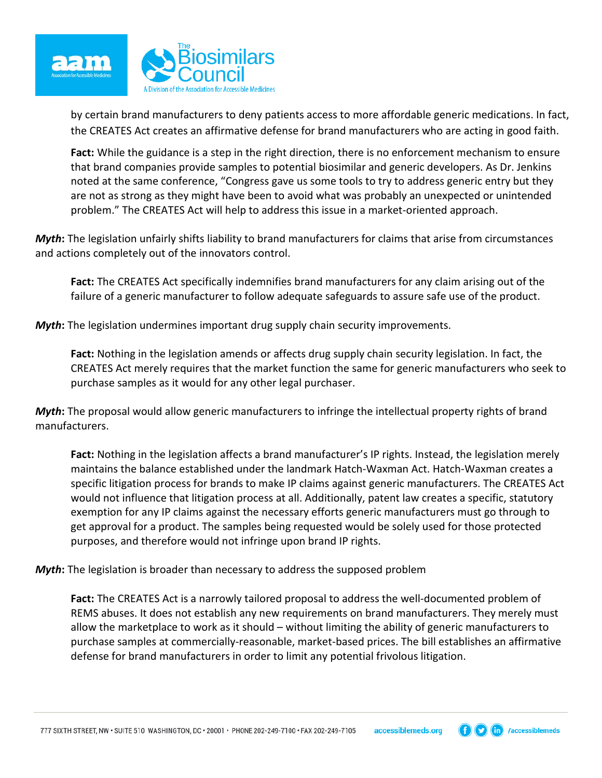

by certain brand manufacturers to deny patients access to more affordable generic medications. In fact, the CREATES Act creates an affirmative defense for brand manufacturers who are acting in good faith.

**Fact:** While the guidance is a step in the right direction, there is no enforcement mechanism to ensure that brand companies provide samples to potential biosimilar and generic developers. As Dr. Jenkins noted at the same conference, "Congress gave us some tools to try to address generic entry but they are not as strong as they might have been to avoid what was probably an unexpected or unintended problem." The CREATES Act will help to address this issue in a market-oriented approach.

*Myth***:** The legislation unfairly shifts liability to brand manufacturers for claims that arise from circumstances and actions completely out of the innovators control.

**Fact:** The CREATES Act specifically indemnifies brand manufacturers for any claim arising out of the failure of a generic manufacturer to follow adequate safeguards to assure safe use of the product.

*Myth***:** The legislation undermines important drug supply chain security improvements.

**Fact:** Nothing in the legislation amends or affects drug supply chain security legislation. In fact, the CREATES Act merely requires that the market function the same for generic manufacturers who seek to purchase samples as it would for any other legal purchaser.

*Myth***:** The proposal would allow generic manufacturers to infringe the intellectual property rights of brand manufacturers.

**Fact:** Nothing in the legislation affects a brand manufacturer's IP rights. Instead, the legislation merely maintains the balance established under the landmark Hatch-Waxman Act. Hatch-Waxman creates a specific litigation process for brands to make IP claims against generic manufacturers. The CREATES Act would not influence that litigation process at all. Additionally, patent law creates a specific, statutory exemption for any IP claims against the necessary efforts generic manufacturers must go through to get approval for a product. The samples being requested would be solely used for those protected purposes, and therefore would not infringe upon brand IP rights.

*Myth***:** The legislation is broader than necessary to address the supposed problem

**Fact:** The CREATES Act is a narrowly tailored proposal to address the well-documented problem of REMS abuses. It does not establish any new requirements on brand manufacturers. They merely must allow the marketplace to work as it should – without limiting the ability of generic manufacturers to purchase samples at commercially-reasonable, market-based prices. The bill establishes an affirmative defense for brand manufacturers in order to limit any potential frivolous litigation.